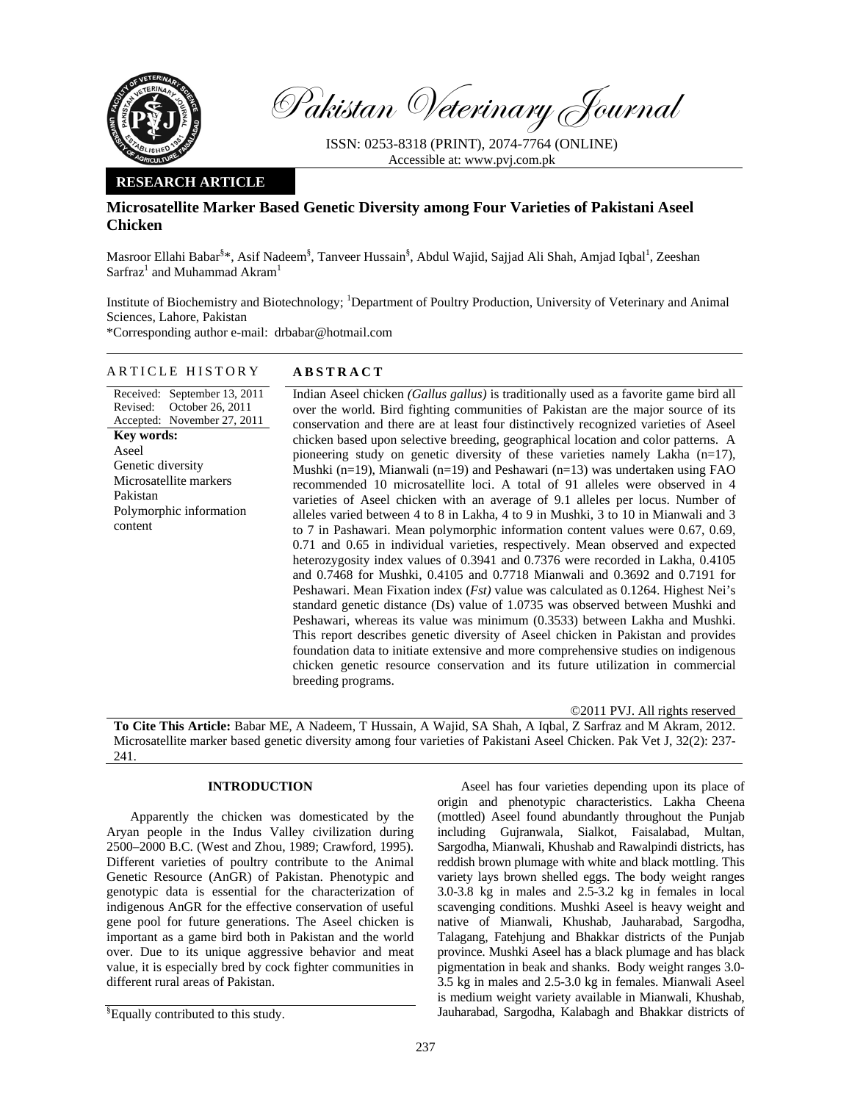

Pakistan Veterinary Journal

ISSN: 0253-8318 (PRINT), 2074-7764 (ONLINE) Accessible at: www.pvj.com.pk

# **RESEARCH ARTICLE**

# **Microsatellite Marker Based Genetic Diversity among Four Varieties of Pakistani Aseel Chicken**

Masroor Ellahi Babar<sup>§\*</sup>, Asif Nadeem<sup>§</sup>, Tanveer Hussain<sup>§</sup>, Abdul Wajid, Sajjad Ali Shah, Amjad Iqbal<sup>1</sup>, Zeeshan  $S\text{arfraz}^1$  and Muhammad Akram $^1$ 

Institute of Biochemistry and Biotechnology; <sup>1</sup>Department of Poultry Production, University of Veterinary and Animal Sciences, Lahore, Pakistan

\*Corresponding author e-mail: drbabar@hotmail.com

# ARTICLE HISTORY **ABSTRACT**

Received: September 13, 2011 Revised: October 26, 2011 Accepted: November 27, 2011 **Key words:**  Aseel Genetic diversity Microsatellite markers Pakistan Polymorphic information content

Indian Aseel chicken *(Gallus gallus)* is traditionally used as a favorite game bird all over the world. Bird fighting communities of Pakistan are the major source of its conservation and there are at least four distinctively recognized varieties of Aseel chicken based upon selective breeding, geographical location and color patterns. A pioneering study on genetic diversity of these varieties namely Lakha (n=17), Mushki (n=19), Mianwali (n=19) and Peshawari (n=13) was undertaken using FAO recommended 10 microsatellite loci. A total of 91 alleles were observed in 4 varieties of Aseel chicken with an average of 9.1 alleles per locus. Number of alleles varied between 4 to 8 in Lakha, 4 to 9 in Mushki, 3 to 10 in Mianwali and 3 to 7 in Pashawari. Mean polymorphic information content values were 0.67, 0.69, 0.71 and 0.65 in individual varieties, respectively. Mean observed and expected heterozygosity index values of 0.3941 and 0.7376 were recorded in Lakha, 0.4105 and 0.7468 for Mushki, 0.4105 and 0.7718 Mianwali and 0.3692 and 0.7191 for Peshawari. Mean Fixation index (*Fst)* value was calculated as 0.1264. Highest Nei's standard genetic distance (Ds) value of 1.0735 was observed between Mushki and Peshawari, whereas its value was minimum (0.3533) between Lakha and Mushki. This report describes genetic diversity of Aseel chicken in Pakistan and provides foundation data to initiate extensive and more comprehensive studies on indigenous chicken genetic resource conservation and its future utilization in commercial breeding programs.

©2011 PVJ. All rights reserved

**To Cite This Article:** Babar ME, A Nadeem, T Hussain, A Wajid, SA Shah, A Iqbal, Z Sarfraz and M Akram, 2012. Microsatellite marker based genetic diversity among four varieties of Pakistani Aseel Chicken. Pak Vet J, 32(2): 237- 241.

### **INTRODUCTION**

Apparently the chicken was domesticated by the Aryan people in the Indus Valley civilization during 2500–2000 B.C. (West and Zhou, 1989; Crawford, 1995). Different varieties of poultry contribute to the Animal Genetic Resource (AnGR) of Pakistan. Phenotypic and genotypic data is essential for the characterization of indigenous AnGR for the effective conservation of useful gene pool for future generations. The Aseel chicken is important as a game bird both in Pakistan and the world over. Due to its unique aggressive behavior and meat value, it is especially bred by cock fighter communities in different rural areas of Pakistan.

Aseel has four varieties depending upon its place of origin and phenotypic characteristics. Lakha Cheena (mottled) Aseel found abundantly throughout the Punjab including Gujranwala, Sialkot, Faisalabad, Multan, Sargodha, Mianwali, Khushab and Rawalpindi districts, has reddish brown plumage with white and black mottling. This variety lays brown shelled eggs. The body weight ranges 3.0-3.8 kg in males and 2.5-3.2 kg in females in local scavenging conditions. Mushki Aseel is heavy weight and native of Mianwali, Khushab, Jauharabad, Sargodha, Talagang, Fatehjung and Bhakkar districts of the Punjab province. Mushki Aseel has a black plumage and has black pigmentation in beak and shanks. Body weight ranges 3.0- 3.5 kg in males and 2.5-3.0 kg in females. Mianwali Aseel is medium weight variety available in Mianwali, Khushab, Jauharabad, Sargodha, Kalabagh and Bhakkar districts of

<sup>§</sup> Equally contributed to this study.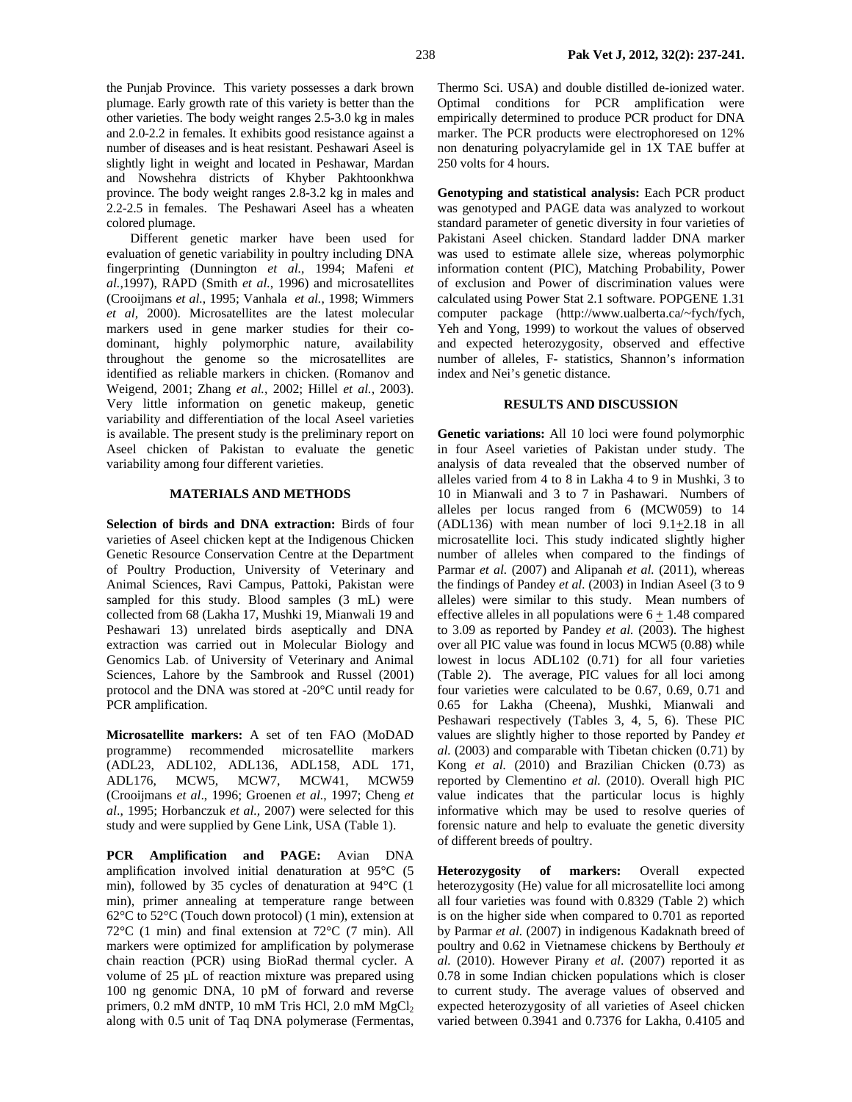the Punjab Province. This variety possesses a dark brown plumage. Early growth rate of this variety is better than the other varieties. The body weight ranges 2.5-3.0 kg in males and 2.0-2.2 in females. It exhibits good resistance against a number of diseases and is heat resistant. Peshawari Aseel is slightly light in weight and located in Peshawar, Mardan and Nowshehra districts of Khyber Pakhtoonkhwa province. The body weight ranges 2.8-3.2 kg in males and 2.2-2.5 in females. The Peshawari Aseel has a wheaten colored plumage.

Different genetic marker have been used for evaluation of genetic variability in poultry including DNA fingerprinting (Dunnington *et al.*, 1994; Mafeni *et al.*,1997), RAPD (Smith *et al.*, 1996) and microsatellites (Crooijmans *et al.*, 1995; Vanhala *et al.*, 1998; Wimmers *et al,* 2000). Microsatellites are the latest molecular markers used in gene marker studies for their codominant, highly polymorphic nature, availability throughout the genome so the microsatellites are identified as reliable markers in chicken. (Romanov and Weigend, 2001; Zhang *et al.*, 2002; Hillel *et al.,* 2003). Very little information on genetic makeup, genetic variability and differentiation of the local Aseel varieties is available. The present study is the preliminary report on Aseel chicken of Pakistan to evaluate the genetic variability among four different varieties.

### **MATERIALS AND METHODS**

**Selection of birds and DNA extraction:** Birds of four varieties of Aseel chicken kept at the Indigenous Chicken Genetic Resource Conservation Centre at the Department of Poultry Production, University of Veterinary and Animal Sciences, Ravi Campus, Pattoki, Pakistan were sampled for this study. Blood samples (3 mL) were collected from 68 (Lakha 17, Mushki 19, Mianwali 19 and Peshawari 13) unrelated birds aseptically and DNA extraction was carried out in Molecular Biology and Genomics Lab. of University of Veterinary and Animal Sciences, Lahore by the Sambrook and Russel (2001) protocol and the DNA was stored at -20°C until ready for PCR amplification.

**Microsatellite markers:** A set of ten FAO (MoDAD programme) recommended microsatellite markers (ADL23, ADL102, ADL136, ADL158, ADL 171, ADL176, MCW5, MCW7, MCW41, MCW59 (Crooijmans *et al*., 1996; Groenen *et al.*, 1997; Cheng *et al*., 1995; Horbanczuk *et al.,* 2007) were selected for this study and were supplied by Gene Link, USA (Table 1).

**PCR Amplification and PAGE:** Avian DNA amplification involved initial denaturation at 95°C (5 min), followed by 35 cycles of denaturation at 94°C (1 min), primer annealing at temperature range between 62°C to 52°C (Touch down protocol) (1 min), extension at 72°C (1 min) and final extension at 72°C (7 min). All markers were optimized for amplification by polymerase chain reaction (PCR) using BioRad thermal cycler. A volume of 25 µL of reaction mixture was prepared using 100 ng genomic DNA, 10 pM of forward and reverse primers,  $0.2$  mM dNTP,  $10$  mM Tris HCl,  $2.0$  mM  $MgCl<sub>2</sub>$ along with 0.5 unit of Taq DNA polymerase (Fermentas,

Thermo Sci. USA) and double distilled de-ionized water. Optimal conditions for PCR amplification were empirically determined to produce PCR product for DNA marker. The PCR products were electrophoresed on 12% non denaturing polyacrylamide gel in 1X TAE buffer at 250 volts for 4 hours.

**Genotyping and statistical analysis:** Each PCR product was genotyped and PAGE data was analyzed to workout standard parameter of genetic diversity in four varieties of Pakistani Aseel chicken. Standard ladder DNA marker was used to estimate allele size, whereas polymorphic information content (PIC), Matching Probability, Power of exclusion and Power of discrimination values were calculated using Power Stat 2.1 software. POPGENE 1.31 computer package (http://www.ualberta.ca/~fych/fych, Yeh and Yong, 1999) to workout the values of observed and expected heterozygosity, observed and effective number of alleles, F- statistics, Shannon's information index and Nei's genetic distance.

### **RESULTS AND DISCUSSION**

**Genetic variations:** All 10 loci were found polymorphic in four Aseel varieties of Pakistan under study. The analysis of data revealed that the observed number of alleles varied from 4 to 8 in Lakha 4 to 9 in Mushki, 3 to 10 in Mianwali and 3 to 7 in Pashawari. Numbers of alleles per locus ranged from 6 (MCW059) to 14 (ADL136) with mean number of loci 9.1+2.18 in all microsatellite loci. This study indicated slightly higher number of alleles when compared to the findings of Parmar *et al.* (2007) and Alipanah *et al.* (2011), whereas the findings of Pandey *et al.* (2003) in Indian Aseel (3 to 9 alleles) were similar to this study. Mean numbers of effective alleles in all populations were  $6 + 1.48$  compared to 3.09 as reported by Pandey *et al.* (2003). The highest over all PIC value was found in locus MCW5 (0.88) while lowest in locus ADL102 (0.71) for all four varieties (Table 2). The average, PIC values for all loci among four varieties were calculated to be 0.67, 0.69, 0.71 and 0.65 for Lakha (Cheena), Mushki, Mianwali and Peshawari respectively (Tables 3, 4, 5, 6). These PIC values are slightly higher to those reported by Pandey *et al.* (2003) and comparable with Tibetan chicken (0.71) by Kong *et al.* (2010) and Brazilian Chicken (0.73) as reported by Clementino *et al.* (2010). Overall high PIC value indicates that the particular locus is highly informative which may be used to resolve queries of forensic nature and help to evaluate the genetic diversity of different breeds of poultry.

**Heterozygosity of markers:** Overall expected heterozygosity (He) value for all microsatellite loci among all four varieties was found with 0.8329 (Table 2) which is on the higher side when compared to 0.701 as reported by Parmar *et al.* (2007) in indigenous Kadaknath breed of poultry and 0.62 in Vietnamese chickens by Berthouly *et al.* (2010). However Pirany *et al*. (2007) reported it as 0.78 in some Indian chicken populations which is closer to current study. The average values of observed and expected heterozygosity of all varieties of Aseel chicken varied between 0.3941 and 0.7376 for Lakha, 0.4105 and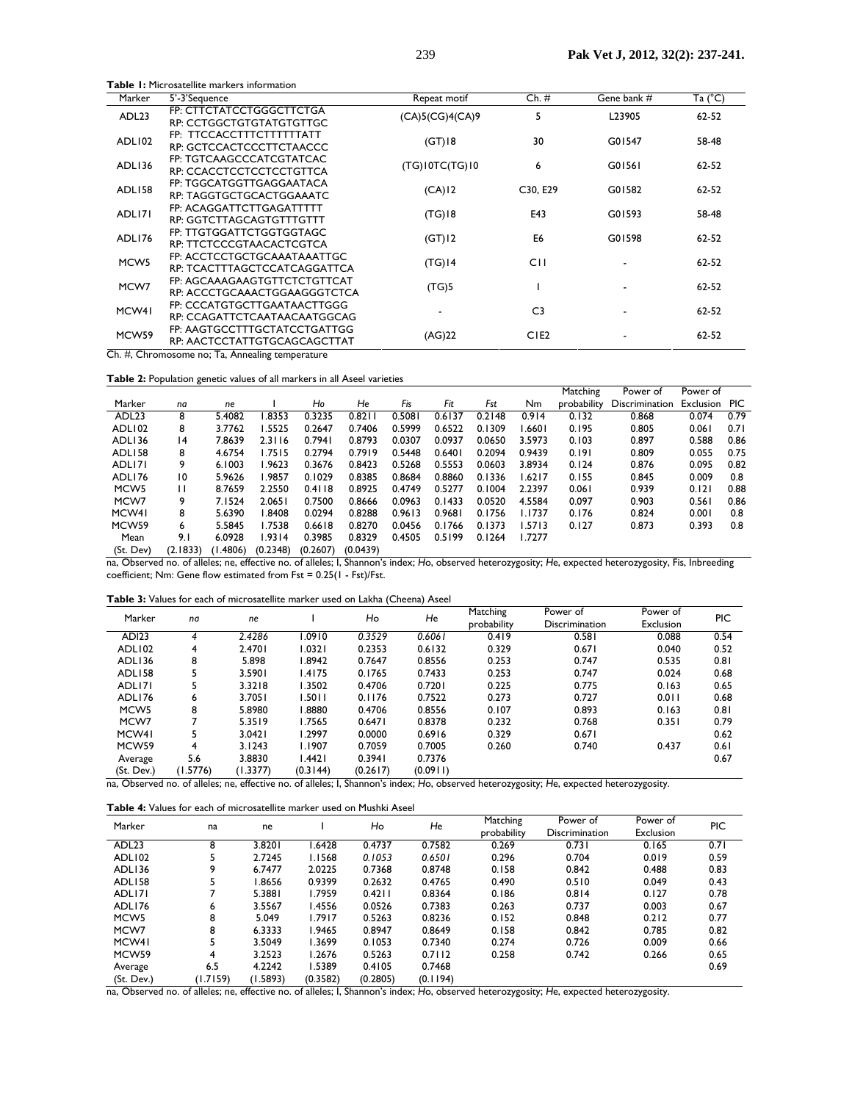|                   | <b>Table 1:</b> Microsatellite markers information           |                 |                  |                          |                  |
|-------------------|--------------------------------------------------------------|-----------------|------------------|--------------------------|------------------|
| Marker            | 5'-3'Sequence                                                | Repeat motif    | $Ch. \#$         | Gene bank #              | Ta $(^{\circ}C)$ |
| ADL <sub>23</sub> | FP: CTTCTATCCTGGGCTTCTGA<br>RP: CCTGGCTGTGTATGTGTTGC         | (CA)5(CG)4(CA)9 | 5                | L23905                   | 62-52            |
| ADLI02            | FP: TTCCACCTTTCTTTTTTATT<br>RP: GCTCCACTCCCTTCTAACCC         | $(GT)$ 18       | 30               | G01547                   | 58-48            |
| ADLI36            | FP: TGTCAAGCCCATCGTATCAC<br>RP: CCACCTCCTCCTCCTGTTCA         | (TG)10TC(TG)10  | 6                | G01561                   | 62-52            |
| ADLI58            | FP: TGGCATGGTTGAGGAATACA<br>RP: TAGGTGCTGCACTGGAAATC         | (CA)12          | C30, E29         | G01582                   | 62-52            |
| ADLI71            | FP: ACAGGATTCTTGAGATTTTT<br>RP: GGTCTTAGCAGTGTTTGTTT         | $(TG)$ 18       | E43              | G01593                   | 58-48            |
| ADLI76            | FP: TTGTGGATTCTGGTGGTAGC<br>RP: TTCTCCCGTAACACTCGTCA         | (GT)12          | E6               | G01598                   | 62-52            |
| MCW <sub>5</sub>  | FP: ACCTCCTGCTGCAAATAAATTGC<br>RP: TCACTTTAGCTCCATCAGGATTCA  | $(TG)$ 14       | C <sub>I</sub>   |                          | 62-52            |
| MCW7              | FP: AGCAAAGAAGTGTTCTCTGTTCAT<br>RP: ACCCTGCAAACTGGAAGGGTCTCA | (TG)5           |                  |                          | 62-52            |
| MCW <sub>41</sub> | FP: CCCATGTGCTTGAATAACTTGGG<br>RP: CCAGATTCTCAATAACAATGGCAG  |                 | C <sub>3</sub>   | $\overline{\phantom{0}}$ | 62-52            |
| MCW59             | FP: AAGTGCCTTTGCTATCCTGATTGG<br>RP: AACTCCTATTGTGCAGCAGCTTAT | (AG)22          | CIE <sub>2</sub> |                          | 62-52            |

Ch. #, Chromosome no; Ta, Annealing temperature

|  |  | Table 2: Population genetic values of all markers in all Aseel varieties |  |  |  |  |  |
|--|--|--------------------------------------------------------------------------|--|--|--|--|--|
|--|--|--------------------------------------------------------------------------|--|--|--|--|--|

|                    |                 |          |          |          |          |        |        |        |         | Matching    | Power of              | Power of  |      |
|--------------------|-----------------|----------|----------|----------|----------|--------|--------|--------|---------|-------------|-----------------------|-----------|------|
| Marker             | na              | ne       |          | Ho       | He       | Fis    | Fit    | Fst    | Nm      | probability | <b>Discrimination</b> | Exclusion | PIC. |
| ADL <sub>23</sub>  | 8               | 5.4082   | .8353    | 0.3235   | 0.8211   | 0.5081 | 0.6137 | 0.2148 | 0.914   | 0.132       | 0.868                 | 0.074     | 0.79 |
| ADLI <sub>02</sub> | 8               | 3.7762   | 1.5525   | 0.2647   | 0.7406   | 0.5999 | 0.6522 | 0.1309 | ا 660 ا | 0.195       | 0.805                 | 0.061     | 0.71 |
| ADLI36             | $\overline{14}$ | 7.8639   | 2.3116   | 0.7941   | 0.8793   | 0.0307 | 0.0937 | 0.0650 | 3.5973  | 0.103       | 0.897                 | 0.588     | 0.86 |
| ADLI58             | 8               | 4.6754   | 1.7515   | 0.2794   | 0.7919   | 0.5448 | 0.6401 | 0.2094 | 0.9439  | 0.191       | 0.809                 | 0.055     | 0.75 |
| ADLI71             | 9               | 6.1003   | 1.9623   | 0.3676   | 0.8423   | 0.5268 | 0.5553 | 0.0603 | 3.8934  | 0.124       | 0.876                 | 0.095     | 0.82 |
| ADLI76             | 10              | 5.9626   | 1.9857   | 0.1029   | 0.8385   | 0.8684 | 0.8860 | 0.1336 | 1.6217  | 0.155       | 0.845                 | 0.009     | 0.8  |
| MCW <sub>5</sub>   | Ш               | 8.7659   | 2.2550   | 0.4118   | 0.8925   | 0.4749 | 0.5277 | 0.1004 | 2.2397  | 0.061       | 0.939                 | 0.121     | 0.88 |
| MCW7               | 9               | 7.1524   | 2.0651   | 0.7500   | 0.8666   | 0.0963 | 0.1433 | 0.0520 | 4.5584  | 0.097       | 0.903                 | 0.561     | 0.86 |
| MCW <sub>41</sub>  | 8               | 5.6390   | 1.8408   | 0.0294   | 0.8288   | 0.9613 | 0.9681 | 0.1756 | 1.1737  | 0.176       | 0.824                 | 0.001     | 0.8  |
| MCW <sub>59</sub>  | 6               | 5.5845   | 1.7538   | 0.6618   | 0.8270   | 0.0456 | 0.1766 | 0.1373 | 1.5713  | 0.127       | 0.873                 | 0.393     | 0.8  |
| Mean               | 9.1             | 6.0928   | 1.9314   | 0.3985   | 0.8329   | 0.4505 | 0.5199 | 0.1264 | 1.7277  |             |                       |           |      |
| (St. Dev)          | (2.1833)        | (1.4806) | (0.2348) | (0.2607) | (0.0439) |        |        |        |         |             |                       |           |      |

na, Observed no. of alleles; ne, effective no. of alleles; I, Shannon's index; *H*o, observed heterozygosity; *H*e, expected heterozygosity, Fis, Inbreeding coefficient; Nm: Gene flow estimated from Fst = 0.25(1 - Fst)/Fst.

| <b>Table 3:</b> Values for each of microsatellite marker used on Lakha (Cheena) Aseel |  |
|---------------------------------------------------------------------------------------|--|
|---------------------------------------------------------------------------------------|--|

| Marker             | na       | ne       |          | Ho       | He       | Matching<br>probability | Power of<br>Discrimination | Power of<br>Exclusion | <b>PIC</b> |
|--------------------|----------|----------|----------|----------|----------|-------------------------|----------------------------|-----------------------|------------|
| <b>ADI23</b>       |          | 2.4286   | 1.0910   | 0.3529   | 0.6061   | 0.419                   | 0.581                      | 0.088                 | 0.54       |
| ADLI <sub>02</sub> | 4        | 2.4701   | 1.0321   | 0.2353   | 0.6132   | 0.329                   | 0.671                      | 0.040                 | 0.52       |
| ADL136             | 8        | 5.898    | 1.8942   | 0.7647   | 0.8556   | 0.253                   | 0.747                      | 0.535                 | 0.81       |
| ADL158             |          | 3.5901   | 1.4175   | 0.1765   | 0.7433   | 0.253                   | 0.747                      | 0.024                 | 0.68       |
| ADLI71             |          | 3.3218   | 1.3502   | 0.4706   | 0.7201   | 0.225                   | 0.775                      | 0.163                 | 0.65       |
| ADLI76             | 6        | 3.7051   | 1.5011   | 0.1176   | 0.7522   | 0.273                   | 0.727                      | 0.011                 | 0.68       |
| MCW <sub>5</sub>   | 8        | 5.8980   | 1.8880   | 0.4706   | 0.8556   | 0.107                   | 0.893                      | 0.163                 | 0.81       |
| MCW7               |          | 5.3519   | 1.7565   | 0.6471   | 0.8378   | 0.232                   | 0.768                      | 0.351                 | 0.79       |
| MCW41              |          | 3.0421   | 1.2997   | 0.0000   | 0.6916   | 0.329                   | 0.671                      |                       | 0.62       |
| MCW <sub>59</sub>  | 4        | 3.1243   | 1.1907   | 0.7059   | 0.7005   | 0.260                   | 0.740                      | 0.437                 | 0.61       |
| Average            | 5.6      | 3.8830   | 1.4421   | 0.3941   | 0.7376   |                         |                            |                       | 0.67       |
| (St. Dev.)         | (1.5776) | (1.3377) | (0.3144) | (0.2617) | (0.0911) |                         |                            |                       |            |

na, Observed no. of alleles; ne, effective no. of alleles; I, Shannon's index; *H*o, observed heterozygosity; *H*e, expected heterozygosity.

| <b>Table 4:</b> Values for each of microsatellite marker used on Mushki Aseel |  |  |  |  |  |  |  |  |  |  |  |  |  |
|-------------------------------------------------------------------------------|--|--|--|--|--|--|--|--|--|--|--|--|--|
|-------------------------------------------------------------------------------|--|--|--|--|--|--|--|--|--|--|--|--|--|

| Marker            | na       | ne       |               | Ho       | He       | Matching<br>probability | Power of<br><b>Discrimination</b> | Power of<br>Exclusion | PIC  |
|-------------------|----------|----------|---------------|----------|----------|-------------------------|-----------------------------------|-----------------------|------|
| ADL <sub>23</sub> | 8        | 3.8201   | .6428         | 0.4737   | 0.7582   | 0.269                   | 0.731                             | 0.165                 | 0.71 |
| ADLI02            | 5        | 2.7245   | I.I568        | 0.1053   | 0.6501   | 0.296                   | 0.704                             | 0.019                 | 0.59 |
| ADLI36            | 9        | 6.7477   | 2.0225        | 0.7368   | 0.8748   | 0.158                   | 0.842                             | 0.488                 | 0.83 |
| ADLI58            | 5        | .8656    | 0.9399        | 0.2632   | 0.4765   | 0.490                   | 0.510                             | 0.049                 | 0.43 |
| ADLI71            |          | 5.3881   | 1.7959        | 0.4211   | 0.8364   | 0.186                   | 0.814                             | 0.127                 | 0.78 |
| ADLI76            | 6        | 3.5567   | <b>1.4556</b> | 0.0526   | 0.7383   | 0.263                   | 0.737                             | 0.003                 | 0.67 |
| MCW <sub>5</sub>  | 8        | 5.049    | 1.7917        | 0.5263   | 0.8236   | 0.152                   | 0.848                             | 0.212                 | 0.77 |
| MCW7              | 8        | 6.3333   | I.9465        | 0.8947   | 0.8649   | 0.158                   | 0.842                             | 0.785                 | 0.82 |
| MCW <sub>41</sub> | 5        | 3.5049   | 1.3699        | 0.1053   | 0.7340   | 0.274                   | 0.726                             | 0.009                 | 0.66 |
| MCW <sub>59</sub> | 4        | 3.2523   | 1.2676        | 0.5263   | 0.7112   | 0.258                   | 0.742                             | 0.266                 | 0.65 |
| Average           | 6.5      | 4.2242   | 1.5389        | 0.4105   | 0.7468   |                         |                                   |                       | 0.69 |
| (St. Dev.)        | (1.7159) | (1.5893) | (0.3582)      | (0.2805) | (0.1194) |                         |                                   |                       |      |

na, Observed no. of alleles; ne, effective no. of alleles; I, Shannon's index; *H*o, observed heterozygosity; *H*e, expected heterozygosity.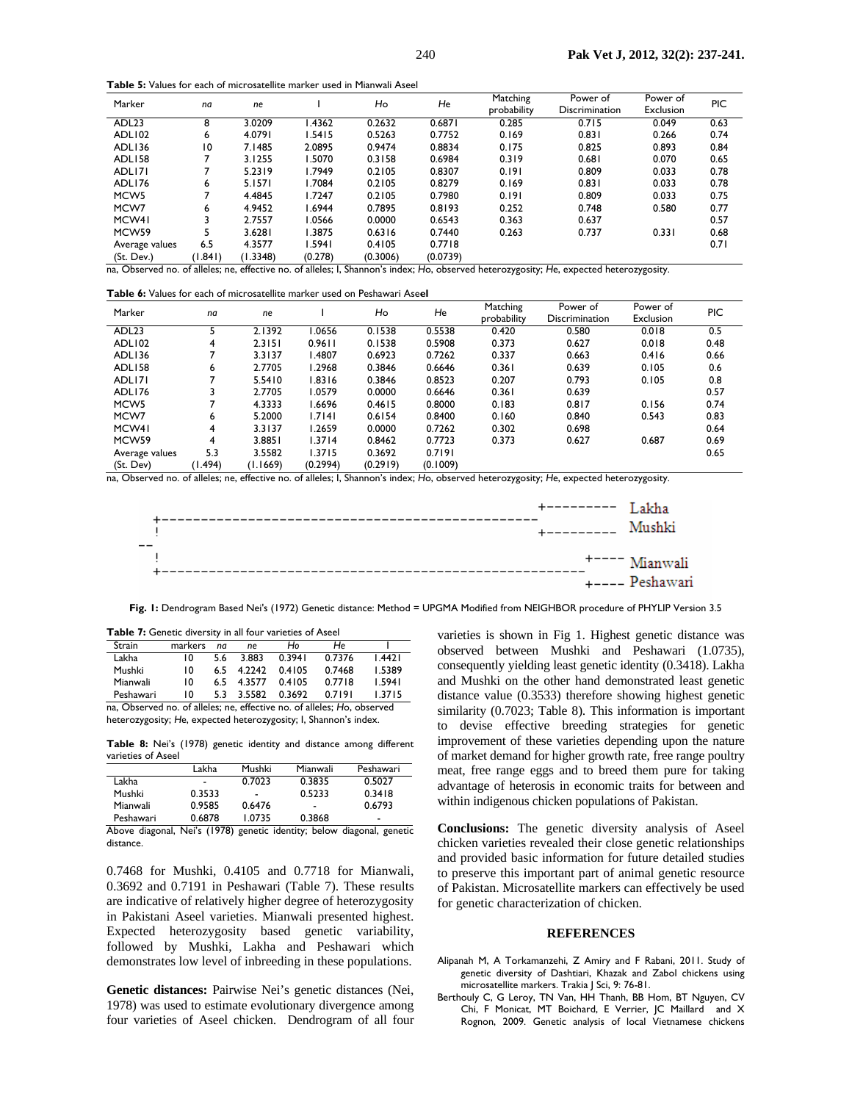**Table 5:** Values for each of microsatellite marker used in Mianwali Aseel

| Marker             | na                                                                                                                                       | ne       |         | Ho       | He       | Matching<br>probability | Power of<br>Discrimination | Power of<br>Exclusion | <b>PIC</b> |  |
|--------------------|------------------------------------------------------------------------------------------------------------------------------------------|----------|---------|----------|----------|-------------------------|----------------------------|-----------------------|------------|--|
| ADL <sub>23</sub>  | 8                                                                                                                                        | 3.0209   | .4362   | 0.2632   | 0.6871   | 0.285                   | 0.715                      | 0.049                 | 0.63       |  |
| ADLI <sub>02</sub> | 6                                                                                                                                        | 4.0791   | 1.5415  | 0.5263   | 0.7752   | 0.169                   | 0.831                      | 0.266                 | 0.74       |  |
| ADLI36             | 10                                                                                                                                       | 7.1485   | 2.0895  | 0.9474   | 0.8834   | 0.175                   | 0.825                      | 0.893                 | 0.84       |  |
| ADLI58             |                                                                                                                                          | 3.1255   | 1.5070  | 0.3158   | 0.6984   | 0.319                   | 0.681                      | 0.070                 | 0.65       |  |
| ADLI7I             |                                                                                                                                          | 5.2319   | 1.7949  | 0.2105   | 0.8307   | 0.191                   | 0.809                      | 0.033                 | 0.78       |  |
| ADLI76             | 6                                                                                                                                        | 5.1571   | 1.7084  | 0.2105   | 0.8279   | 0.169                   | 0.831                      | 0.033                 | 0.78       |  |
| MCW <sub>5</sub>   |                                                                                                                                          | 4.4845   | 1.7247  | 0.2105   | 0.7980   | 0.191                   | 0.809                      | 0.033                 | 0.75       |  |
| MCW7               | 6                                                                                                                                        | 4.9452   | 1.6944  | 0.7895   | 0.8193   | 0.252                   | 0.748                      | 0.580                 | 0.77       |  |
| MCW41              |                                                                                                                                          | 2.7557   | 1.0566  | 0.0000   | 0.6543   | 0.363                   | 0.637                      |                       | 0.57       |  |
| MCW <sub>59</sub>  |                                                                                                                                          | 3.6281   | 1.3875  | 0.6316   | 0.7440   | 0.263                   | 0.737                      | 0.331                 | 0.68       |  |
| Average values     | 6.5                                                                                                                                      | 4.3577   | I.5941  | 0.4105   | 0.7718   |                         |                            |                       | 0.71       |  |
| (St. Dev.)         | (1.841)                                                                                                                                  | (1.3348) | (0.278) | (0.3006) | (0.0739) |                         |                            |                       |            |  |
|                    | na, Observed no. of alleles; ne, effective no. of alleles; I, Shannon's index; Ho, observed heterozygosity; He, expected heterozygosity. |          |         |          |          |                         |                            |                       |            |  |

| <b>Table 6:</b> Values for each of microsatellite marker used on Peshawari Aseel |  |  |  |  |  |  |  |  |  |  |
|----------------------------------------------------------------------------------|--|--|--|--|--|--|--|--|--|--|
|----------------------------------------------------------------------------------|--|--|--|--|--|--|--|--|--|--|

| Marker            | na      | ne       |          | Ho       | He       | Matching<br>probability | Power of<br>Discrimination | Power of<br>Exclusion | PIC  |
|-------------------|---------|----------|----------|----------|----------|-------------------------|----------------------------|-----------------------|------|
| ADL <sub>23</sub> | 5       | 2.1392   | .0656    | 0.1538   | 0.5538   | 0.420                   | 0.580                      | 0.018                 | 0.5  |
| ADLI02            | 4       | 2.3151   | 0.9611   | 0.1538   | 0.5908   | 0.373                   | 0.627                      | 0.018                 | 0.48 |
| ADLI36            |         | 3.3137   | .4807    | 0.6923   | 0.7262   | 0.337                   | 0.663                      | 0.416                 | 0.66 |
| ADLI58            | 6       | 2.7705   | 1.2968   | 0.3846   | 0.6646   | 0.361                   | 0.639                      | 0.105                 | 0.6  |
| ADLI71            |         | 5.5410   | 1.8316   | 0.3846   | 0.8523   | 0.207                   | 0.793                      | 0.105                 | 0.8  |
| ADLI76            | 3       | 2.7705   | 1.0579   | 0.0000   | 0.6646   | 0.361                   | 0.639                      |                       | 0.57 |
| MCW <sub>5</sub>  | 7       | 4.3333   | .6696    | 0.4615   | 0.8000   | 0.183                   | 0.817                      | 0.156                 | 0.74 |
| MCW7              | 6       | 5.2000   | 1.7141   | 0.6154   | 0.8400   | 0.160                   | 0.840                      | 0.543                 | 0.83 |
| MCW41             | 4       | 3.3137   | 1.2659   | 0.0000   | 0.7262   | 0.302                   | 0.698                      |                       | 0.64 |
| MCW <sub>59</sub> | 4       | 3.8851   | 1.3714   | 0.8462   | 0.7723   | 0.373                   | 0.627                      | 0.687                 | 0.69 |
| Average values    | 5.3     | 3.5582   | 1.3715   | 0.3692   | 0.7191   |                         |                            |                       | 0.65 |
| (St. Dev)         | (1.494) | (1.1669) | (0.2994) | (0.2919) | (0.1009) |                         |                            |                       |      |

na, Observed no. of alleles; ne, effective no. of alleles; I, Shannon's index; *H*o, observed heterozygosity; *H*e, expected heterozygosity.



**Fig. 1:** Dendrogram Based Nei's (1972) Genetic distance: Method = UPGMA Modified from NEIGHBOR procedure of PHYLIP Version 3.5

| <b>I able 1.</b> Genetic diversity in all lour varieties of Aseer       |         |     |               |        |        |        |  |  |  |  |
|-------------------------------------------------------------------------|---------|-----|---------------|--------|--------|--------|--|--|--|--|
| Strain                                                                  | markers | na  | <sub>ne</sub> | H٥     | He     |        |  |  |  |  |
| Lakha                                                                   | 10      | 5.6 | 3.883         | 0.3941 | 0.7376 | 1.4421 |  |  |  |  |
| Mushki                                                                  | 10      | 65  | 4.2242        | 0.4105 | 0.7468 | 1.5389 |  |  |  |  |
| Mianwali                                                                | 10      | 65. | 4.3577        | 0.4105 | 0.7718 | 1.5941 |  |  |  |  |
| Peshawari                                                               | 10      | 5.3 | 3.5582        | 0.3692 | 0.7191 | 1.3715 |  |  |  |  |
| na, Observed no. of alleles; ne, effective no. of alleles; Ho, observed |         |     |               |        |        |        |  |  |  |  |

heterozygosity; *H*e, expected heterozygosity; I, Shannon's index.

**Table 7:** Genetic diversity in all four varieties of Aseel

**Table 8:** Nei's (1978) genetic identity and distance among different varieties of Aseel

|           | Lakha                    | Mushki                   | Mianwali                 | Peshawari                |
|-----------|--------------------------|--------------------------|--------------------------|--------------------------|
| Lakha     | $\overline{\phantom{0}}$ | 0.7023                   | 0.3835                   | 0.5027                   |
| Mushki    | 0.3533                   | $\overline{\phantom{a}}$ | 0.5233                   | 0.3418                   |
| Mianwali  | 0.9585                   | 0.6476                   | $\overline{\phantom{0}}$ | 0.6793                   |
| Peshawari | 0.6878                   | L 0735                   | 0.3868                   | $\overline{\phantom{a}}$ |

Above diagonal, Nei's (1978) genetic identity; below diagonal, genetic distance.

0.7468 for Mushki, 0.4105 and 0.7718 for Mianwali, 0.3692 and 0.7191 in Peshawari (Table 7). These results are indicative of relatively higher degree of heterozygosity in Pakistani Aseel varieties. Mianwali presented highest. Expected heterozygosity based genetic variability, followed by Mushki, Lakha and Peshawari which demonstrates low level of inbreeding in these populations.

**Genetic distances:** Pairwise Nei's genetic distances (Nei, 1978) was used to estimate evolutionary divergence among four varieties of Aseel chicken. Dendrogram of all four varieties is shown in Fig 1. Highest genetic distance was observed between Mushki and Peshawari (1.0735), consequently yielding least genetic identity (0.3418). Lakha and Mushki on the other hand demonstrated least genetic distance value (0.3533) therefore showing highest genetic similarity (0.7023; Table 8). This information is important to devise effective breeding strategies for genetic improvement of these varieties depending upon the nature of market demand for higher growth rate, free range poultry meat, free range eggs and to breed them pure for taking advantage of heterosis in economic traits for between and within indigenous chicken populations of Pakistan.

**Conclusions:** The genetic diversity analysis of Aseel chicken varieties revealed their close genetic relationships and provided basic information for future detailed studies to preserve this important part of animal genetic resource of Pakistan. Microsatellite markers can effectively be used for genetic characterization of chicken.

### **REFERENCES**

- Alipanah M, A Torkamanzehi, Z Amiry and F Rabani, 2011. Study of genetic diversity of Dashtiari, Khazak and Zabol chickens using microsatellite markers. Trakia J Sci, 9: 76-81.
- Berthouly C, G Leroy, TN Van, HH Thanh, BB Hom, BT Nguyen, CV Chi, F Monicat, MT Boichard, E Verrier, JC Maillard and X Rognon, 2009. Genetic analysis of local Vietnamese chickens